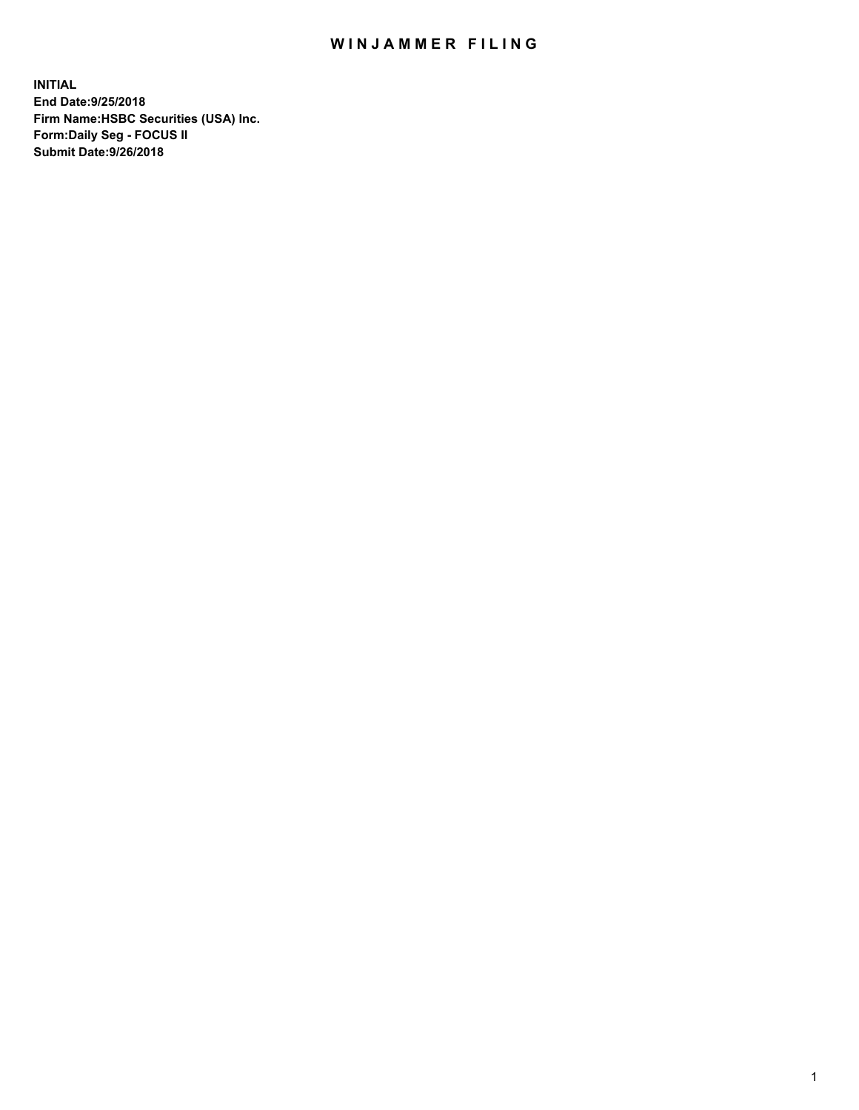## WIN JAMMER FILING

**INITIAL End Date:9/25/2018 Firm Name:HSBC Securities (USA) Inc. Form:Daily Seg - FOCUS II Submit Date:9/26/2018**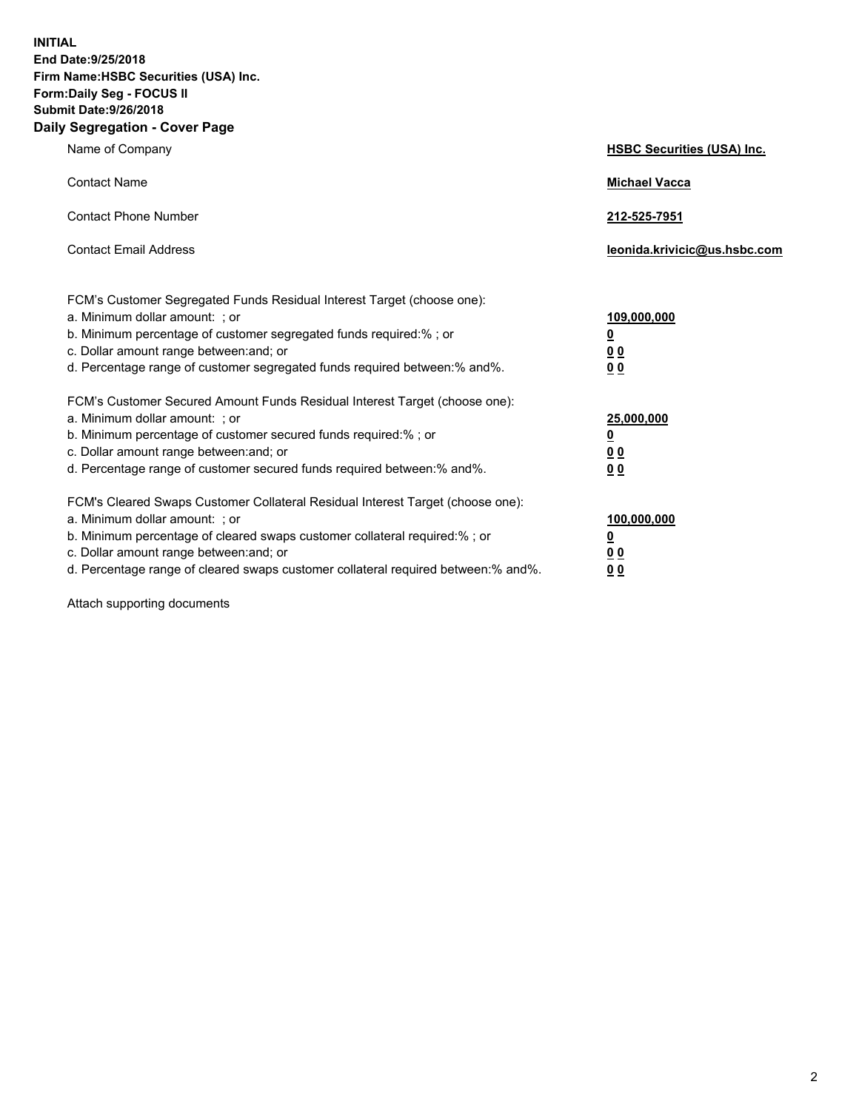**INITIAL End Date:9/25/2018 Firm Name:HSBC Securities (USA) Inc. Form:Daily Seg - FOCUS II Submit Date:9/26/2018 Daily Segregation - Cover Page**

| Name of Company                                                                                                                                                                                                                                                                                                                | <b>HSBC Securities (USA) Inc.</b>                           |
|--------------------------------------------------------------------------------------------------------------------------------------------------------------------------------------------------------------------------------------------------------------------------------------------------------------------------------|-------------------------------------------------------------|
| <b>Contact Name</b>                                                                                                                                                                                                                                                                                                            | <b>Michael Vacca</b>                                        |
| <b>Contact Phone Number</b>                                                                                                                                                                                                                                                                                                    | 212-525-7951                                                |
| <b>Contact Email Address</b>                                                                                                                                                                                                                                                                                                   | leonida.krivicic@us.hsbc.com                                |
| FCM's Customer Segregated Funds Residual Interest Target (choose one):<br>a. Minimum dollar amount: ; or<br>b. Minimum percentage of customer segregated funds required:% ; or<br>c. Dollar amount range between: and; or<br>d. Percentage range of customer segregated funds required between: % and %.                       | 109,000,000<br><u>0</u><br>0 <sub>0</sub><br>0 <sub>0</sub> |
| FCM's Customer Secured Amount Funds Residual Interest Target (choose one):<br>a. Minimum dollar amount: ; or<br>b. Minimum percentage of customer secured funds required:%; or<br>c. Dollar amount range between: and; or<br>d. Percentage range of customer secured funds required between:% and%.                            | 25,000,000<br><u>0</u><br>0 <sub>0</sub><br>0 <sub>0</sub>  |
| FCM's Cleared Swaps Customer Collateral Residual Interest Target (choose one):<br>a. Minimum dollar amount: ; or<br>b. Minimum percentage of cleared swaps customer collateral required:% ; or<br>c. Dollar amount range between: and; or<br>d. Percentage range of cleared swaps customer collateral required between:% and%. | 100,000,000<br><u>0</u><br>0 <sub>0</sub><br>0 <sub>0</sub> |

Attach supporting documents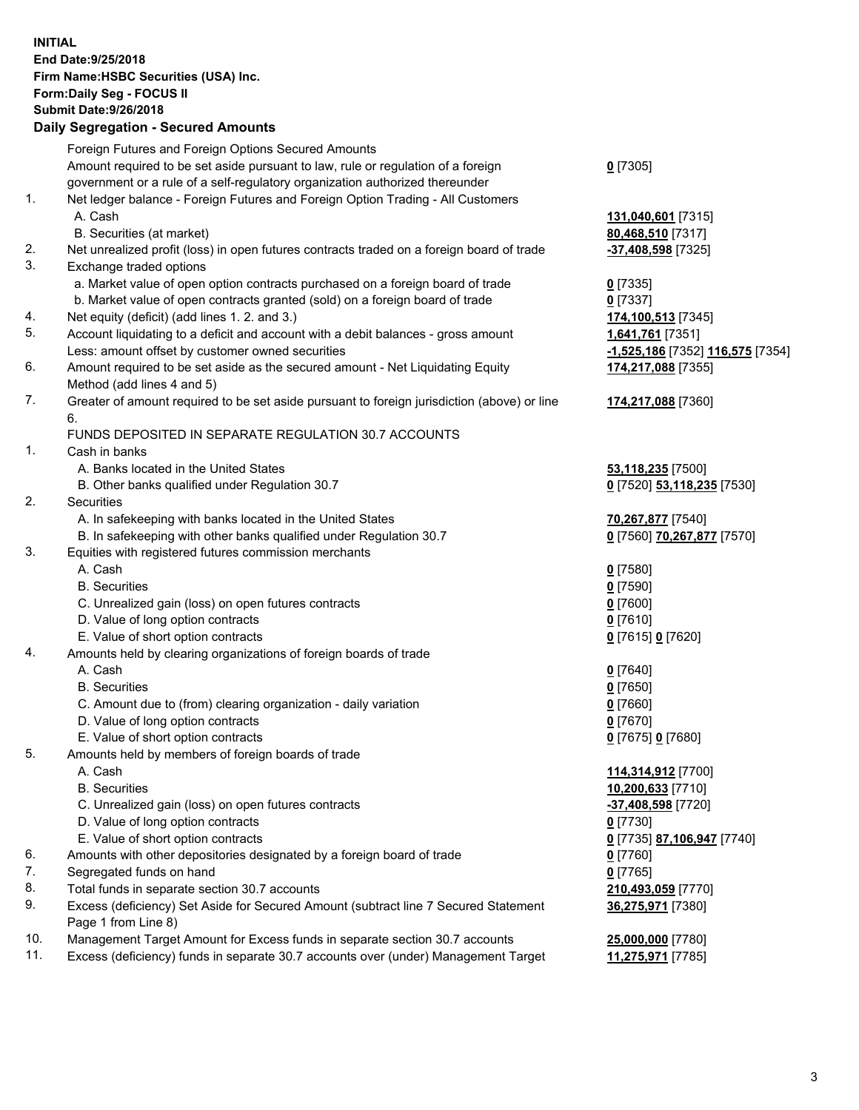**INITIAL End Date:9/25/2018 Firm Name:HSBC Securities (USA) Inc. Form:Daily Seg - FOCUS II Submit Date:9/26/2018 Daily Segregation - Secured Amounts** Foreign Futures and Foreign Options Secured Amounts Amount required to be set aside pursuant to law, rule or regulation of a foreign government or a rule of a self-regulatory organization authorized thereunder **0** [7305] 1. Net ledger balance - Foreign Futures and Foreign Option Trading - All Customers A. Cash **131,040,601** [7315] B. Securities (at market) **80,468,510** [7317] 2. Net unrealized profit (loss) in open futures contracts traded on a foreign board of trade **-37,408,598** [7325] 3. Exchange traded options a. Market value of open option contracts purchased on a foreign board of trade **0** [7335] b. Market value of open contracts granted (sold) on a foreign board of trade **0** [7337] 4. Net equity (deficit) (add lines 1. 2. and 3.) **174,100,513** [7345] 5. Account liquidating to a deficit and account with a debit balances - gross amount **1,641,761** [7351] Less: amount offset by customer owned securities **-1,525,186** [7352] **116,575** [7354] 6. Amount required to be set aside as the secured amount - Net Liquidating Equity Method (add lines 4 and 5) **174,217,088** [7355] 7. Greater of amount required to be set aside pursuant to foreign jurisdiction (above) or line 6. **174,217,088** [7360] FUNDS DEPOSITED IN SEPARATE REGULATION 30.7 ACCOUNTS 1. Cash in banks A. Banks located in the United States **53,118,235** [7500] B. Other banks qualified under Regulation 30.7 **0** [7520] **53,118,235** [7530] 2. Securities A. In safekeeping with banks located in the United States **70,267,877** [7540] B. In safekeeping with other banks qualified under Regulation 30.7 **0** [7560] **70,267,877** [7570] 3. Equities with registered futures commission merchants A. Cash **0** [7580] B. Securities **0** [7590] C. Unrealized gain (loss) on open futures contracts **0** [7600] D. Value of long option contracts **0** [7610] E. Value of short option contracts **0** [7615] **0** [7620] 4. Amounts held by clearing organizations of foreign boards of trade A. Cash **0** [7640] B. Securities **0** [7650] C. Amount due to (from) clearing organization - daily variation **0** [7660] D. Value of long option contracts **0** [7670] E. Value of short option contracts **0** [7675] **0** [7680] 5. Amounts held by members of foreign boards of trade A. Cash **114,314,912** [7700] B. Securities **10,200,633** [7710]

9. Excess (deficiency) Set Aside for Secured Amount (subtract line 7 Secured Statement

Page 1 from Line 8)

 C. Unrealized gain (loss) on open futures contracts **-37,408,598** [7720] D. Value of long option contracts **0** [7730] E. Value of short option contracts **0** [7735] **87,106,947** [7740] 6. Amounts with other depositories designated by a foreign board of trade **0** [7760] 7. Segregated funds on hand **0** [7765] 8. Total funds in separate section 30.7 accounts **210,493,059** [7770] **36,275,971** [7380]

10. Management Target Amount for Excess funds in separate section 30.7 accounts **25,000,000** [7780] 11. Excess (deficiency) funds in separate 30.7 accounts over (under) Management Target **11,275,971** [7785]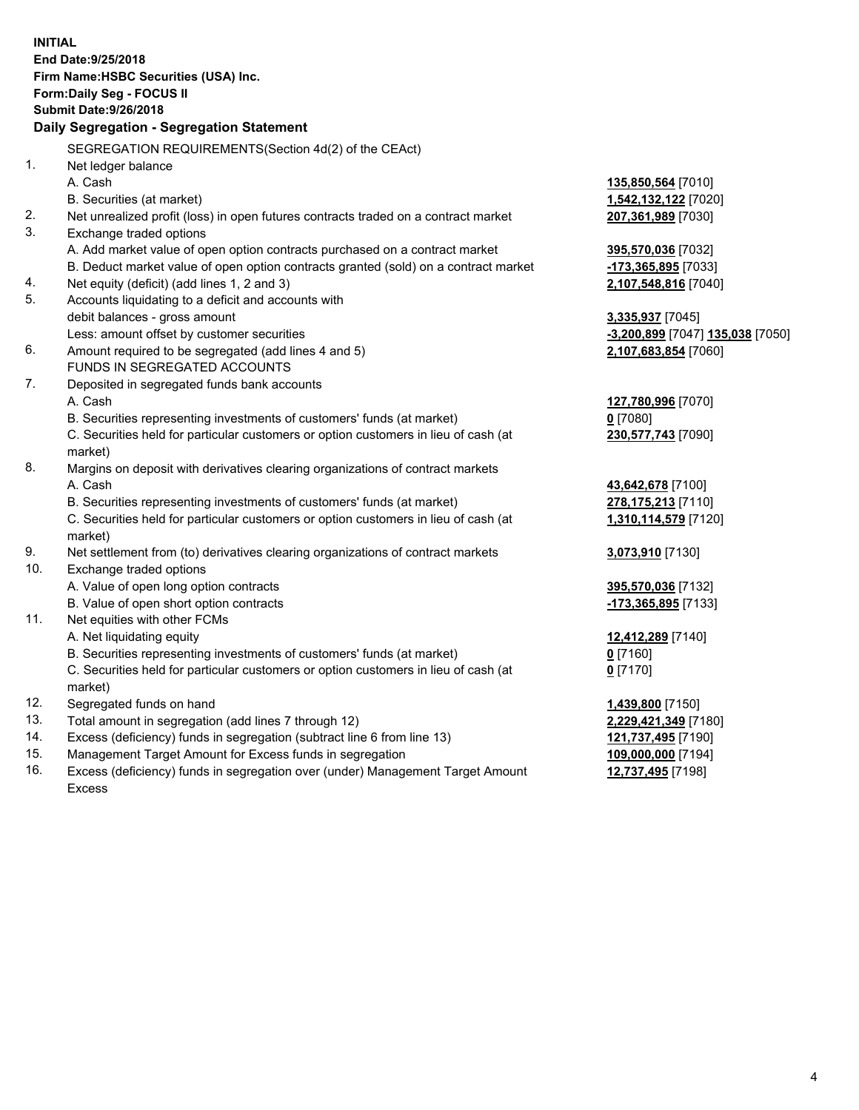**INITIAL End Date:9/25/2018 Firm Name:HSBC Securities (USA) Inc. Form:Daily Seg - FOCUS II Submit Date:9/26/2018 Daily Segregation - Segregation Statement** SEGREGATION REQUIREMENTS(Section 4d(2) of the CEAct) 1. Net ledger balance A. Cash **135,850,564** [7010] B. Securities (at market) **1,542,132,122** [7020] 2. Net unrealized profit (loss) in open futures contracts traded on a contract market **207,361,989** [7030] 3. Exchange traded options A. Add market value of open option contracts purchased on a contract market **395,570,036** [7032] B. Deduct market value of open option contracts granted (sold) on a contract market **-173,365,895** [7033] 4. Net equity (deficit) (add lines 1, 2 and 3) **2,107,548,816** [7040] 5. Accounts liquidating to a deficit and accounts with debit balances - gross amount **3,335,937** [7045] Less: amount offset by customer securities **-3,200,899** [7047] **135,038** [7050] 6. Amount required to be segregated (add lines 4 and 5) **2,107,683,854** [7060] FUNDS IN SEGREGATED ACCOUNTS 7. Deposited in segregated funds bank accounts A. Cash **127,780,996** [7070] B. Securities representing investments of customers' funds (at market) **0** [7080] C. Securities held for particular customers or option customers in lieu of cash (at market) **230,577,743** [7090] 8. Margins on deposit with derivatives clearing organizations of contract markets A. Cash **43,642,678** [7100] B. Securities representing investments of customers' funds (at market) **278,175,213** [7110] C. Securities held for particular customers or option customers in lieu of cash (at market) **1,310,114,579** [7120] 9. Net settlement from (to) derivatives clearing organizations of contract markets **3,073,910** [7130] 10. Exchange traded options A. Value of open long option contracts **395,570,036** [7132] B. Value of open short option contracts **-173,365,895** [7133] 11. Net equities with other FCMs A. Net liquidating equity **12,412,289** [7140] B. Securities representing investments of customers' funds (at market) **0** [7160] C. Securities held for particular customers or option customers in lieu of cash (at market) **0** [7170] 12. Segregated funds on hand **1,439,800** [7150] 13. Total amount in segregation (add lines 7 through 12) **2,229,421,349** [7180] 14. Excess (deficiency) funds in segregation (subtract line 6 from line 13) **121,737,495** [7190] 15. Management Target Amount for Excess funds in segregation **109,000,000** [7194] 16. Excess (deficiency) funds in segregation over (under) Management Target Amount **12,737,495** [7198]

Excess